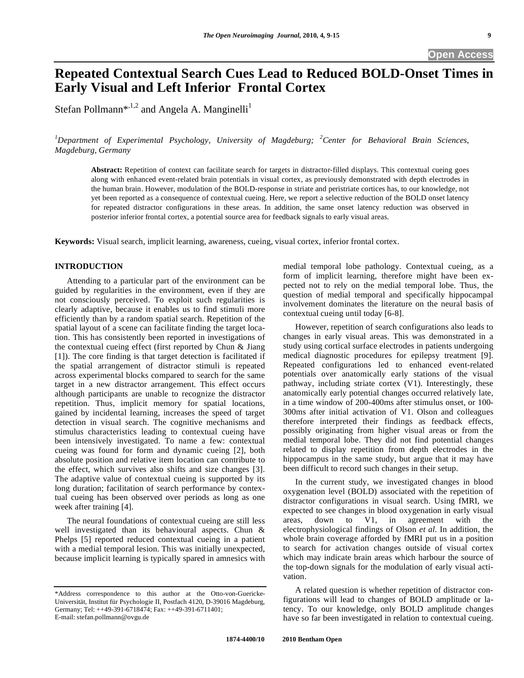# **Repeated Contextual Search Cues Lead to Reduced BOLD-Onset Times in Early Visual and Left Inferior Frontal Cortex**

Stefan Pollmann<sup>\*,1,2</sup> and Angela A. Manginelli<sup>1</sup>

*1 Department of Experimental Psychology, University of Magdeburg; <sup>2</sup> Center for Behavioral Brain Sciences, Magdeburg, Germany* 

**Abstract:** Repetition of context can facilitate search for targets in distractor-filled displays. This contextual cueing goes along with enhanced event-related brain potentials in visual cortex, as previously demonstrated with depth electrodes in the human brain. However, modulation of the BOLD-response in striate and peristriate cortices has, to our knowledge, not yet been reported as a consequence of contextual cueing. Here, we report a selective reduction of the BOLD onset latency for repeated distractor configurations in these areas. In addition, the same onset latency reduction was observed in posterior inferior frontal cortex, a potential source area for feedback signals to early visual areas.

**Keywords:** Visual search, implicit learning, awareness, cueing, visual cortex, inferior frontal cortex.

# **INTRODUCTION**

 Attending to a particular part of the environment can be guided by regularities in the environment, even if they are not consciously perceived. To exploit such regularities is clearly adaptive, because it enables us to find stimuli more efficiently than by a random spatial search. Repetition of the spatial layout of a scene can facilitate finding the target location. This has consistently been reported in investigations of the contextual cueing effect (first reported by Chun & Jiang [1]). The core finding is that target detection is facilitated if the spatial arrangement of distractor stimuli is repeated across experimental blocks compared to search for the same target in a new distractor arrangement. This effect occurs although participants are unable to recognize the distractor repetition. Thus, implicit memory for spatial locations, gained by incidental learning, increases the speed of target detection in visual search. The cognitive mechanisms and stimulus characteristics leading to contextual cueing have been intensively investigated. To name a few: contextual cueing was found for form and dynamic cueing [2], both absolute position and relative item location can contribute to the effect, which survives also shifts and size changes [3]. The adaptive value of contextual cueing is supported by its long duration; facilitation of search performance by contextual cueing has been observed over periods as long as one week after training [4].

 The neural foundations of contextual cueing are still less well investigated than its behavioural aspects. Chun & Phelps [5] reported reduced contextual cueing in a patient with a medial temporal lesion. This was initially unexpected, because implicit learning is typically spared in amnesics with

medial temporal lobe pathology. Contextual cueing, as a form of implicit learning, therefore might have been expected not to rely on the medial temporal lobe. Thus, the question of medial temporal and specifically hippocampal involvement dominates the literature on the neural basis of contextual cueing until today [6-8].

 However, repetition of search configurations also leads to changes in early visual areas. This was demonstrated in a study using cortical surface electrodes in patients undergoing medical diagnostic procedures for epilepsy treatment [9]. Repeated configurations led to enhanced event-related potentials over anatomically early stations of the visual pathway, including striate cortex (V1). Interestingly, these anatomically early potential changes occurred relatively late, in a time window of 200-400ms after stimulus onset, or 100- 300ms after initial activation of V1. Olson and colleagues therefore interpreted their findings as feedback effects, possibly originating from higher visual areas or from the medial temporal lobe. They did not find potential changes related to display repetition from depth electrodes in the hippocampus in the same study, but argue that it may have been difficult to record such changes in their setup.

 In the current study, we investigated changes in blood oxygenation level (BOLD) associated with the repetition of distractor configurations in visual search. Using fMRI, we expected to see changes in blood oxygenation in early visual areas, down to V1, in agreement with the electrophysiological findings of Olson *et al*. In addition, the whole brain coverage afforded by fMRI put us in a position to search for activation changes outside of visual cortex which may indicate brain areas which harbour the source of the top-down signals for the modulation of early visual activation.

 A related question is whether repetition of distractor configurations will lead to changes of BOLD amplitude or latency. To our knowledge, only BOLD amplitude changes have so far been investigated in relation to contextual cueing.

<sup>\*</sup>Address correspondence to this author at the Otto-von-Guericke-Universität, Institut für Psychologie II, Postfach 4120, D-39016 Magdeburg, Germany; Tel: ++49-391-6718474; Fax: ++49-391-6711401; E-mail: stefan.pollmann@ovgu.de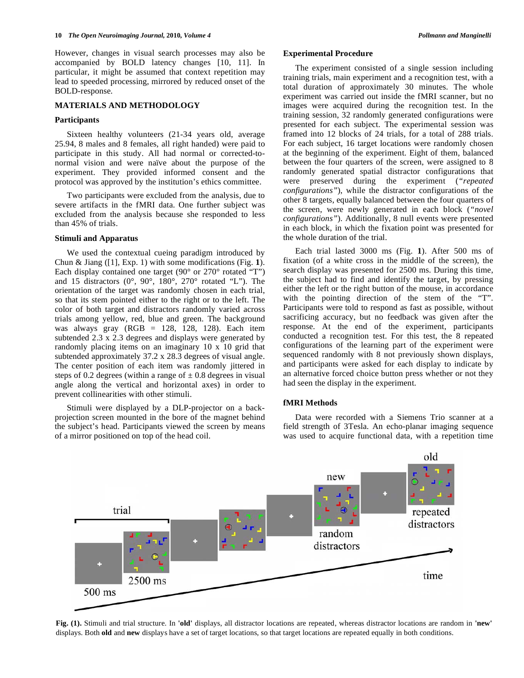However, changes in visual search processes may also be accompanied by BOLD latency changes [10, 11]. In particular, it might be assumed that context repetition may lead to speeded processing, mirrored by reduced onset of the BOLD-response.

# **MATERIALS AND METHODOLOGY**

#### **Participants**

 Sixteen healthy volunteers (21-34 years old, average 25.94, 8 males and 8 females, all right handed) were paid to participate in this study. All had normal or corrected-tonormal vision and were naïve about the purpose of the experiment. They provided informed consent and the protocol was approved by the institution's ethics committee.

 Two participants were excluded from the analysis, due to severe artifacts in the fMRI data. One further subject was excluded from the analysis because she responded to less than 45% of trials.

# **Stimuli and Apparatus**

 We used the contextual cueing paradigm introduced by Chun & Jiang ([1], Exp. 1) with some modifications (Fig. **1**). Each display contained one target (90 $^{\circ}$  or 270 $^{\circ}$  rotated "T") and 15 distractors ( $0^\circ$ ,  $90^\circ$ ,  $180^\circ$ ,  $270^\circ$  rotated "L"). The orientation of the target was randomly chosen in each trial, so that its stem pointed either to the right or to the left. The color of both target and distractors randomly varied across trials among yellow, red, blue and green. The background was always gray (RGB = 128, 128, 128). Each item subtended 2.3 x 2.3 degrees and displays were generated by randomly placing items on an imaginary 10 x 10 grid that subtended approximately 37.2 x 28.3 degrees of visual angle. The center position of each item was randomly jittered in steps of 0.2 degrees (within a range of  $\pm$  0.8 degrees in visual angle along the vertical and horizontal axes) in order to prevent collinearities with other stimuli.

 Stimuli were displayed by a DLP-projector on a backprojection screen mounted in the bore of the magnet behind the subject's head. Participants viewed the screen by means of a mirror positioned on top of the head coil.

#### **Experimental Procedure**

 The experiment consisted of a single session including training trials, main experiment and a recognition test, with a total duration of approximately 30 minutes. The whole experiment was carried out inside the fMRI scanner, but no images were acquired during the recognition test. In the training session, 32 randomly generated configurations were presented for each subject. The experimental session was framed into 12 blocks of 24 trials, for a total of 288 trials. For each subject, 16 target locations were randomly chosen at the beginning of the experiment. Eight of them, balanced between the four quarters of the screen, were assigned to 8 randomly generated spatial distractor configurations that were preserved during the experiment (*"repeated configurations"*), while the distractor configurations of the other 8 targets, equally balanced between the four quarters of the screen, were newly generated in each block (*"novel configurations"*). Additionally, 8 null events were presented in each block, in which the fixation point was presented for the whole duration of the trial.

 Each trial lasted 3000 ms (Fig. **1**). After 500 ms of fixation (of a white cross in the middle of the screen), the search display was presented for 2500 ms. During this time, the subject had to find and identify the target, by pressing either the left or the right button of the mouse, in accordance with the pointing direction of the stem of the "T". Participants were told to respond as fast as possible, without sacrificing accuracy, but no feedback was given after the response. At the end of the experiment, participants conducted a recognition test. For this test, the 8 repeated configurations of the learning part of the experiment were sequenced randomly with 8 not previously shown displays, and participants were asked for each display to indicate by an alternative forced choice button press whether or not they had seen the display in the experiment.

# **fMRI Methods**

 Data were recorded with a Siemens Trio scanner at a field strength of 3Tesla. An echo-planar imaging sequence was used to acquire functional data, with a repetition time



**Fig. (1).** Stimuli and trial structure. In **'old'** displays, all distractor locations are repeated, whereas distractor locations are random in **'new'** displays. Both **old** and **new** displays have a set of target locations, so that target locations are repeated equally in both conditions.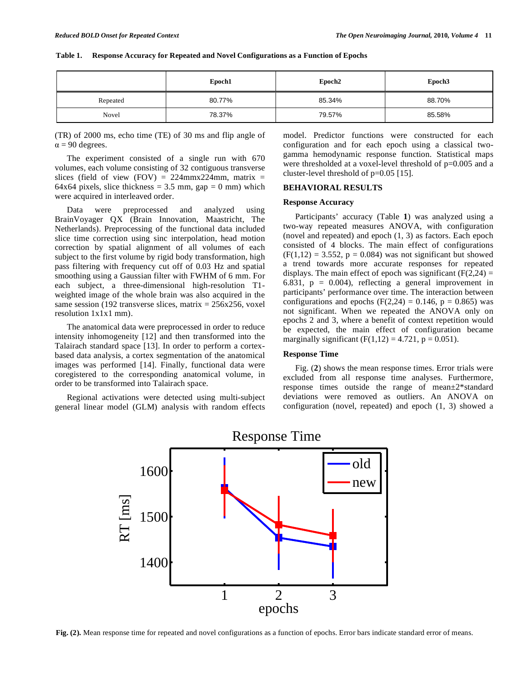|          | Epoch1 | Epoch <sub>2</sub> | Epoch <sub>3</sub> |
|----------|--------|--------------------|--------------------|
| Repeated | 80.77% | 85.34%             | 88.70%             |
| Novel    | 78.37% | 79.57%             | 85.58%             |

#### **Table 1. Response Accuracy for Repeated and Novel Configurations as a Function of Epochs**

(TR) of 2000 ms, echo time (TE) of 30 ms and flip angle of  $\alpha$  = 90 degrees.

 The experiment consisted of a single run with 670 volumes, each volume consisting of 32 contiguous transverse slices (field of view (FOV) =  $224$ mmx224mm, matrix = 64x64 pixels, slice thickness =  $3.5$  mm, gap = 0 mm) which were acquired in interleaved order.

 Data were preprocessed and analyzed using BrainVoyager QX (Brain Innovation, Maastricht, The Netherlands). Preprocessing of the functional data included slice time correction using sinc interpolation, head motion correction by spatial alignment of all volumes of each subject to the first volume by rigid body transformation, high pass filtering with frequency cut off of 0.03 Hz and spatial smoothing using a Gaussian filter with FWHM of 6 mm. For each subject, a three-dimensional high-resolution T1 weighted image of the whole brain was also acquired in the same session (192 transverse slices, matrix  $= 256x256$ , voxel resolution 1x1x1 mm).

 The anatomical data were preprocessed in order to reduce intensity inhomogeneity [12] and then transformed into the Talairach standard space [13]. In order to perform a cortexbased data analysis, a cortex segmentation of the anatomical images was performed [14]. Finally, functional data were coregistered to the corresponding anatomical volume, in order to be transformed into Talairach space.

 Regional activations were detected using multi-subject general linear model (GLM) analysis with random effects model. Predictor functions were constructed for each configuration and for each epoch using a classical twogamma hemodynamic response function. Statistical maps were thresholded at a voxel-level threshold of p=0.005 and a cluster-level threshold of p=0.05 [15].

# **BEHAVIORAL RESULTS**

#### **Response Accuracy**

 Participants' accuracy (Table **1**) was analyzed using a two-way repeated measures ANOVA, with configuration (novel and repeated) and epoch (1, 3) as factors. Each epoch consisted of 4 blocks. The main effect of configurations  $(F(1,12) = 3.552, p = 0.084)$  was not significant but showed a trend towards more accurate responses for repeated displays. The main effect of epoch was significant  $(F(2,24) =$ 6.831,  $p = 0.004$ , reflecting a general improvement in participants' performance over time. The interaction between configurations and epochs  $(F(2,24) = 0.146, p = 0.865)$  was not significant. When we repeated the ANOVA only on epochs 2 and 3, where a benefit of context repetition would be expected, the main effect of configuration became marginally significant  $(F(1,12) = 4.721, p = 0.051)$ .

# **Response Time**

 Fig. (**2**) shows the mean response times. Error trials were excluded from all response time analyses. Furthermore, response times outside the range of mean±2\*standard deviations were removed as outliers. An ANOVA on configuration (novel, repeated) and epoch (1, 3) showed a



# Response Time

**Fig. (2).** Mean response time for repeated and novel configurations as a function of epochs. Error bars indicate standard error of means.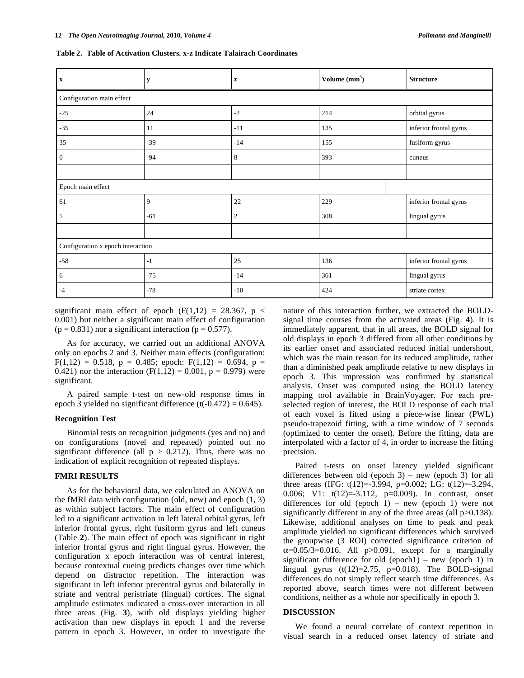|  | Table 2. Table of Activation Clusters, x-z Indicate Talairach Coordinates |
|--|---------------------------------------------------------------------------|
|  |                                                                           |

| $\mathbf x$                       | y     | $\mathbf{z}$   | Volume $(mm3)$ | <b>Structure</b>       |  |  |  |
|-----------------------------------|-------|----------------|----------------|------------------------|--|--|--|
| Configuration main effect         |       |                |                |                        |  |  |  |
| $-25$                             | 24    | $-2$           | 214            | orbital gyrus          |  |  |  |
| $-35$                             | 11    | $-11$          | 135            | inferior frontal gyrus |  |  |  |
| 35                                | $-39$ | $-14$          | 155            | fusiform gyrus         |  |  |  |
| $\mathbf{0}$                      | $-94$ | 8              | 393            | cuneus                 |  |  |  |
|                                   |       |                |                |                        |  |  |  |
| Epoch main effect                 |       |                |                |                        |  |  |  |
| 61                                | 9     | 22             | 229            | inferior frontal gyrus |  |  |  |
| 5                                 | $-61$ | $\overline{2}$ | 308            | lingual gyrus          |  |  |  |
|                                   |       |                |                |                        |  |  |  |
| Configuration x epoch interaction |       |                |                |                        |  |  |  |
| $-58$                             | $-1$  | 25             | 136            | inferior frontal gyrus |  |  |  |
| 6                                 | $-75$ | $-14$          | 361            | lingual gyrus          |  |  |  |
| $-4$                              | $-78$ | $-10$          | 424            | striate cortex         |  |  |  |

significant main effect of epoch  $(F(1,12) = 28.367, p <$ 0.001) but neither a significant main effect of configuration  $(p = 0.831)$  nor a significant interaction  $(p = 0.577)$ .

 As for accuracy, we carried out an additional ANOVA only on epochs 2 and 3. Neither main effects (configuration:  $F(1,12) = 0.518$ ,  $p = 0.485$ ; epoch:  $F(1,12) = 0.694$ ,  $p =$ 0.421) nor the interaction (F(1,12) = 0.001, p = 0.979) were significant.

 A paired sample t-test on new-old response times in epoch 3 yielded no significant difference  $(t(-0.472) = 0.645)$ .

#### **Recognition Test**

 Binomial tests on recognition judgments (yes and no) and on configurations (novel and repeated) pointed out no significant difference (all  $p > 0.212$ ). Thus, there was no indication of explicit recognition of repeated displays.

# **FMRI RESULTS**

 As for the behavioral data, we calculated an ANOVA on the fMRI data with configuration (old, new) and epoch (1, 3) as within subject factors. The main effect of configuration led to a significant activation in left lateral orbital gyrus, left inferior frontal gyrus, right fusiform gyrus and left cuneus (Table **2**). The main effect of epoch was significant in right inferior frontal gyrus and right lingual gyrus. However, the configuration x epoch interaction was of central interest, because contextual cueing predicts changes over time which depend on distractor repetition. The interaction was significant in left inferior precentral gyrus and bilaterally in striate and ventral peristriate (lingual) cortices. The signal amplitude estimates indicated a cross-over interaction in all three areas (Fig. **3**), with old displays yielding higher activation than new displays in epoch 1 and the reverse pattern in epoch 3. However, in order to investigate the

nature of this interaction further, we extracted the BOLDsignal time courses from the activated areas (Fig. **4**). It is immediately apparent, that in all areas, the BOLD signal for old displays in epoch 3 differed from all other conditions by its earlier onset and associated reduced initial undershoot, which was the main reason for its reduced amplitude, rather than a diminished peak amplitude relative to new displays in epoch 3. This impression was confirmed by statistical analysis. Onset was computed using the BOLD latency mapping tool available in BrainVoyager. For each preselected region of interest, the BOLD response of each trial of each voxel is fitted using a piece-wise linear (PWL) pseudo-trapezoid fitting, with a time window of 7 seconds (optimized to center the onset). Before the fitting, data are interpolated with a factor of 4, in order to increase the fitting precision.

 Paired t-tests on onset latency yielded significant differences between old (epoch  $3$ ) – new (epoch 3) for all three areas (IFG: t(12)=-3.994, p=0.002; LG: t(12)=-3.294, 0.006; V1: t(12)=-3.112, p=0.009). In contrast, onset differences for old (epoch  $1$ ) – new (epoch 1) were not significantly different in any of the three areas (all  $p>0.138$ ). Likewise, additional analyses on time to peak and peak amplitude yielded no significant differences which survived the groupwise (3 ROI) corrected significance criterion of  $\alpha=0.05/3=0.016$ . All p>0.091, except for a marginally significant difference for old  $(epoch1)$  – new  $(epoch 1)$  in lingual gyrus  $(t(12)=2.75, p=0.018)$ . The BOLD-signal differences do not simply reflect search time differences. As reported above, search times were not different between conditions, neither as a whole nor specifically in epoch 3.

## **DISCUSSION**

 We found a neural correlate of context repetition in visual search in a reduced onset latency of striate and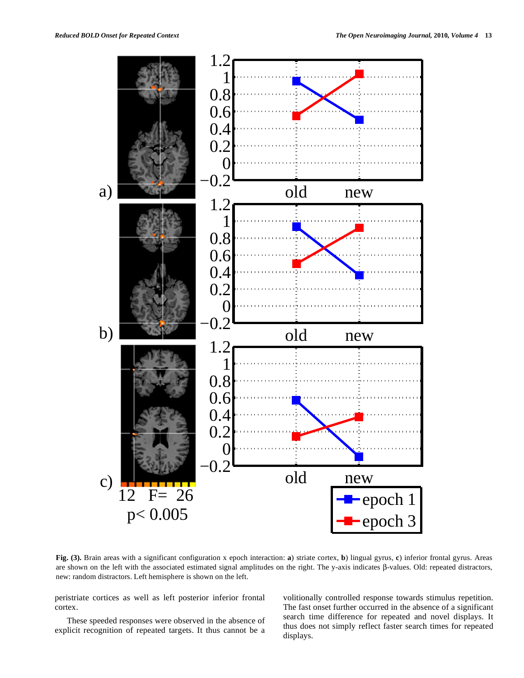

**Fig. (3).** Brain areas with a significant configuration x epoch interaction: **a**) striate cortex, **b**) lingual gyrus, **c**) inferior frontal gyrus. Areas are shown on the left with the associated estimated signal amplitudes on the right. The y-axis indicates  $\beta$ -values. Old: repeated distractors, new: random distractors. Left hemisphere is shown on the left.

peristriate cortices as well as left posterior inferior frontal cortex.

 These speeded responses were observed in the absence of explicit recognition of repeated targets. It thus cannot be a

volitionally controlled response towards stimulus repetition. The fast onset further occurred in the absence of a significant search time difference for repeated and novel displays. It thus does not simply reflect faster search times for repeated displays.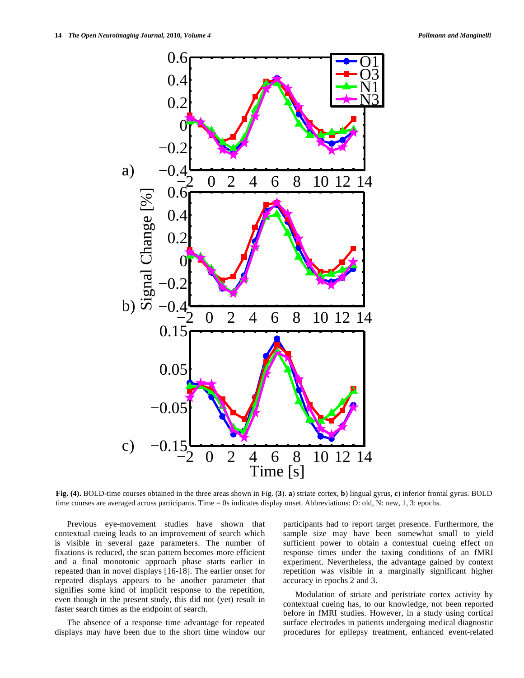

**Fig. (4).** BOLD-time courses obtained in the three areas shown in Fig. (**3**). **a**) striate cortex, **b**) lingual gyrus, **c**) inferior frontal gyrus. BOLD time courses are averaged across participants. Time = 0s indicates display onset. Abbreviations: O: old, N: new, 1, 3: epochs.

 Previous eye-movement studies have shown that contextual cueing leads to an improvement of search which is visible in several gaze parameters. The number of fixations is reduced, the scan pattern becomes more efficient and a final monotonic approach phase starts earlier in repeated than in novel displays [16-18]. The earlier onset for repeated displays appears to be another parameter that signifies some kind of implicit response to the repetition, even though in the present study, this did not (yet) result in faster search times as the endpoint of search.

 The absence of a response time advantage for repeated displays may have been due to the short time window our participants had to report target presence. Furthermore, the sample size may have been somewhat small to yield sufficient power to obtain a contextual cueing effect on response times under the taxing conditions of an fMRI experiment. Nevertheless, the advantage gained by context repetition was visible in a marginally significant higher accuracy in epochs 2 and 3.

 Modulation of striate and peristriate cortex activity by contextual cueing has, to our knowledge, not been reported before in fMRI studies. However, in a study using cortical surface electrodes in patients undergoing medical diagnostic procedures for epilepsy treatment, enhanced event-related